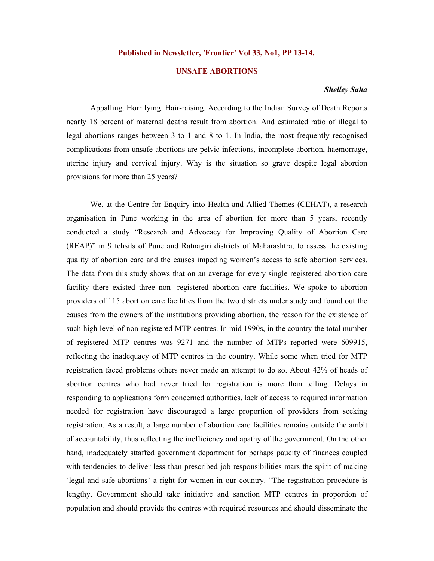## **Published in Newsletter, 'Frontier' Vol 33, No1, PP 13-14.**

## **UNSAFE ABORTIONS**

## *Shelley Saha*

Appalling. Horrifying. Hair-raising. According to the Indian Survey of Death Reports nearly 18 percent of maternal deaths result from abortion. And estimated ratio of illegal to legal abortions ranges between 3 to 1 and 8 to 1. In India, the most frequently recognised complications from unsafe abortions are pelvic infections, incomplete abortion, haemorrage, uterine injury and cervical injury. Why is the situation so grave despite legal abortion provisions for more than 25 years?

We, at the Centre for Enquiry into Health and Allied Themes (CEHAT), a research organisation in Pune working in the area of abortion for more than 5 years, recently conducted a study "Research and Advocacy for Improving Quality of Abortion Care (REAP)" in 9 tehsils of Pune and Ratnagiri districts of Maharashtra, to assess the existing quality of abortion care and the causes impeding women's access to safe abortion services. The data from this study shows that on an average for every single registered abortion care facility there existed three non- registered abortion care facilities. We spoke to abortion providers of 115 abortion care facilities from the two districts under study and found out the causes from the owners of the institutions providing abortion, the reason for the existence of such high level of non-registered MTP centres. In mid 1990s, in the country the total number of registered MTP centres was 9271 and the number of MTPs reported were 609915, reflecting the inadequacy of MTP centres in the country. While some when tried for MTP registration faced problems others never made an attempt to do so. About 42% of heads of abortion centres who had never tried for registration is more than telling. Delays in responding to applications form concerned authorities, lack of access to required information needed for registration have discouraged a large proportion of providers from seeking registration. As a result, a large number of abortion care facilities remains outside the ambit of accountability, thus reflecting the inefficiency and apathy of the government. On the other hand, inadequately sttaffed government department for perhaps paucity of finances coupled with tendencies to deliver less than prescribed job responsibilities mars the spirit of making 'legal and safe abortions' a right for women in our country. "The registration procedure is lengthy. Government should take initiative and sanction MTP centres in proportion of population and should provide the centres with required resources and should disseminate the